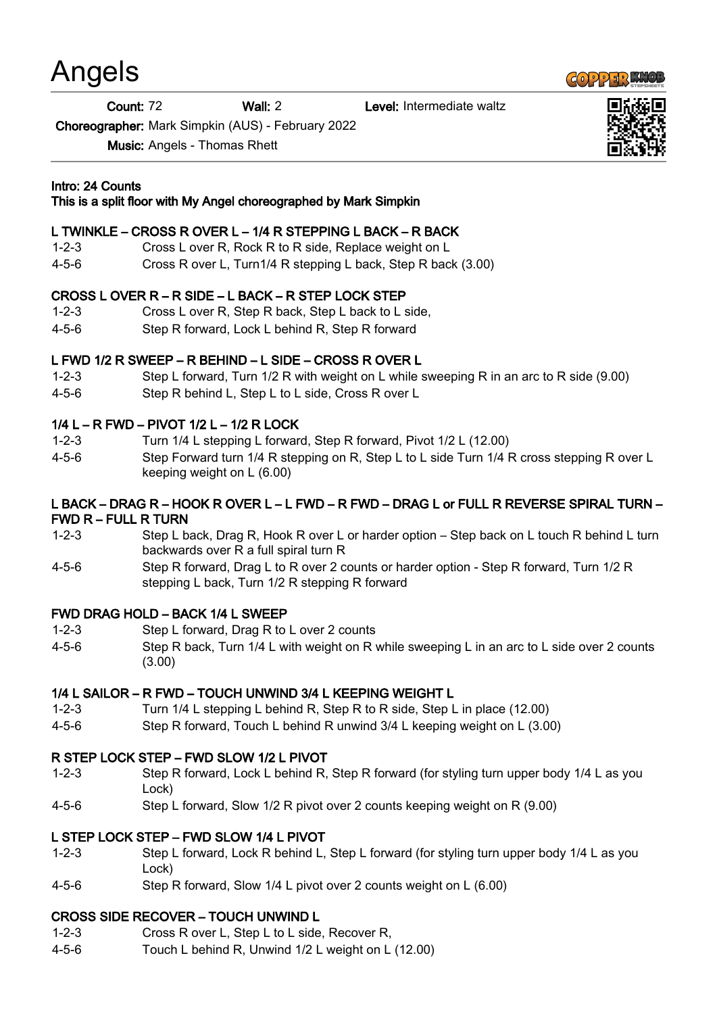# Angels

Count: 72 Wall: 2 Level: Intermediate waltz

Choreographer: Mark Simpkin (AUS) - February 2022

Music: Angels - Thomas Rhett

## Intro: 24 Counts

#### This is a split floor with My Angel choreographed by Mark Simpkin

## L TWINKLE – CROSS R OVER L – 1/4 R STEPPING L BACK – R BACK

- 1-2-3 Cross L over R, Rock R to R side, Replace weight on L
- 4-5-6 Cross R over L, Turn1/4 R stepping L back, Step R back (3.00)

### CROSS L OVER R – R SIDE – L BACK – R STEP LOCK STEP

- 1-2-3 Cross L over R, Step R back, Step L back to L side,
- 4-5-6 Step R forward, Lock L behind R, Step R forward

# L FWD 1/2 R SWEEP – R BEHIND – L SIDE – CROSS R OVER L

- 1-2-3 Step L forward, Turn 1/2 R with weight on L while sweeping R in an arc to R side (9.00)
- 4-5-6 Step R behind L, Step L to L side, Cross R over L

### 1/4 L – R FWD – PIVOT 1/2 L – 1/2 R LOCK

- 1-2-3 Turn 1/4 L stepping L forward, Step R forward, Pivot 1/2 L (12.00)
- 4-5-6 Step Forward turn 1/4 R stepping on R, Step L to L side Turn 1/4 R cross stepping R over L keeping weight on L (6.00)

#### L BACK – DRAG R – HOOK R OVER L – L FWD – R FWD – DRAG L or FULL R REVERSE SPIRAL TURN – FWD R – FULL R TURN

- 1-2-3 Step L back, Drag R, Hook R over L or harder option Step back on L touch R behind L turn backwards over R a full spiral turn R
- 4-5-6 Step R forward, Drag L to R over 2 counts or harder option Step R forward, Turn 1/2 R stepping L back, Turn 1/2 R stepping R forward

### FWD DRAG HOLD – BACK 1/4 L SWEEP

- 1-2-3 Step L forward, Drag R to L over 2 counts
- 4-5-6 Step R back, Turn 1/4 L with weight on R while sweeping L in an arc to L side over 2 counts (3.00)

# 1/4 L SAILOR – R FWD – TOUCH UNWIND 3/4 L KEEPING WEIGHT L

- 1-2-3 Turn 1/4 L stepping L behind R, Step R to R side, Step L in place (12.00)
- 4-5-6 Step R forward, Touch L behind R unwind 3/4 L keeping weight on L (3.00)

### R STEP LOCK STEP – FWD SLOW 1/2 L PIVOT

- 1-2-3 Step R forward, Lock L behind R, Step R forward (for styling turn upper body 1/4 L as you Lock)
- 4-5-6 Step L forward, Slow 1/2 R pivot over 2 counts keeping weight on R (9.00)

### L STEP LOCK STEP – FWD SLOW 1/4 L PIVOT

- 1-2-3 Step L forward, Lock R behind L, Step L forward (for styling turn upper body 1/4 L as you Lock)
- 4-5-6 Step R forward, Slow 1/4 L pivot over 2 counts weight on L (6.00)

### CROSS SIDE RECOVER – TOUCH UNWIND L

- 1-2-3 Cross R over L, Step L to L side, Recover R,
- 4-5-6 Touch L behind R, Unwind 1/2 L weight on L (12.00)